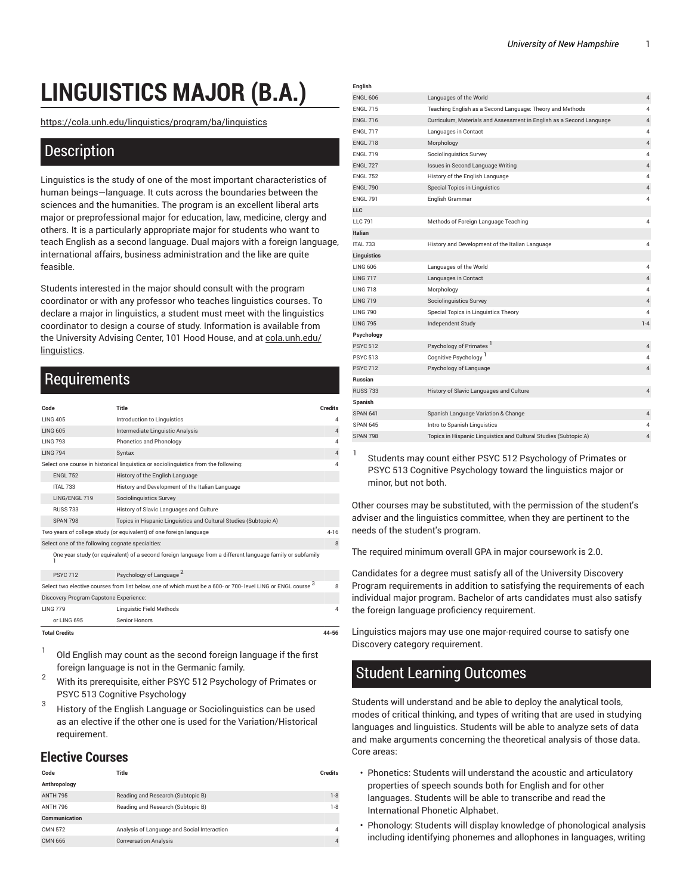# **LINGUISTICS MAJOR (B.A.)**

[https://cola.unh.edu/linguistics/program/ba/linguistics](https://cola.unh.edu/linguistics/program/ba/linguistics/)

### **Description**

Linguistics is the study of one of the most important characteristics of human beings—language. It cuts across the boundaries between the sciences and the humanities. The program is an excellent liberal arts major or preprofessional major for education, law, medicine, clergy and others. It is a particularly appropriate major for students who want to teach English as a second language. Dual majors with a foreign language, international affairs, business administration and the like are quite feasible.

Students interested in the major should consult with the program coordinator or with any professor who teaches linguistics courses. To declare a major in linguistics, a student must meet with the linguistics coordinator to design a course of study. Information is available from the University Advising Center, 101 Hood House, and at [cola.unh.edu/](http://www.cola.unh.edu/linguistics/) [linguistics](http://www.cola.unh.edu/linguistics/).

# **Requirements**

| Code                                             | Title                                                                                                        | <b>Credits</b> |
|--------------------------------------------------|--------------------------------------------------------------------------------------------------------------|----------------|
| <b>IING 405</b>                                  | Introduction to Linguistics                                                                                  | Δ              |
| <b>I ING 605</b>                                 | Intermediate Linguistic Analysis                                                                             | $\overline{4}$ |
| <b>IING 793</b>                                  | Phonetics and Phonology                                                                                      | Δ              |
| <b>LING 794</b>                                  | Syntax                                                                                                       | 4              |
|                                                  | Select one course in historical linguistics or sociolinguistics from the following:                          | Δ              |
| <b>FNGI 752</b>                                  | History of the English Language                                                                              |                |
| <b>ITAI 733</b>                                  | History and Development of the Italian Language                                                              |                |
| LING/ENGL 719                                    | <b>Sociolinguistics Survey</b>                                                                               |                |
| <b>RUSS 733</b>                                  | History of Slavic Languages and Culture                                                                      |                |
| <b>SPAN 798</b>                                  | Topics in Hispanic Linguistics and Cultural Studies (Subtopic A)                                             |                |
|                                                  | Two years of college study (or equivalent) of one foreign language                                           | $4 - 16$       |
| Select one of the following cognate specialties: |                                                                                                              |                |
|                                                  | One year study (or equivalent) of a second foreign language from a different language family or subfamily    |                |
| <b>PSYC 712</b>                                  | Psychology of Language <sup>2</sup>                                                                          |                |
|                                                  | Select two elective courses from list below, one of which must be a 600- or 700- level LING or ENGL course 3 | 8              |
| Discovery Program Capstone Experience:           |                                                                                                              |                |
| <b>IING 779</b>                                  | <b>Linguistic Field Methods</b>                                                                              | Δ              |
| or LING 695                                      | Senior Honors                                                                                                |                |
| <b>Total Credits</b>                             |                                                                                                              | 44-56          |

1 Old English may count as the second foreign language if the first foreign language is not in the Germanic family.

- <sup>2</sup> With its prerequisite, either PSYC <sup>512</sup> Psychology of Primates or PSYC 513 Cognitive Psychology
- 3 History of the English Language or Sociolinguistics can be used as an elective if the other one is used for the Variation/Historical requirement.

#### **Elective Courses**

| <b>Credits</b> |
|----------------|
|                |
| $1 - 8$        |
| $1 - 8$        |
|                |
| $\overline{4}$ |
| $\overline{4}$ |
|                |

| English          |                                                                      |                |
|------------------|----------------------------------------------------------------------|----------------|
| <b>FNGI 606</b>  | Languages of the World                                               | 4              |
| <b>FNGI 715</b>  | Teaching English as a Second Language: Theory and Methods            | 4              |
| <b>ENGL 716</b>  | Curriculum, Materials and Assessment in English as a Second Language | 4              |
| <b>FNGI 717</b>  | Languages in Contact                                                 | $\overline{4}$ |
| <b>FNGI 718</b>  | Morphology                                                           | $\overline{4}$ |
| <b>FNGI 719</b>  | Sociolinguistics Survey                                              | $\overline{4}$ |
| <b>FNGI 727</b>  | Issues in Second Language Writing                                    | $\sqrt{4}$     |
| <b>FNGI 752</b>  | History of the English Language                                      | $\overline{4}$ |
| <b>ENGL 790</b>  | Special Topics in Linguistics                                        | 4              |
| <b>FNGI 791</b>  | English Grammar                                                      | $\overline{4}$ |
| <b>LLC</b>       |                                                                      |                |
| <b>IIC 791</b>   | Methods of Foreign Language Teaching                                 | $\overline{4}$ |
| <b>Italian</b>   |                                                                      |                |
| <b>ITAI 733</b>  | History and Development of the Italian Language                      | $\overline{4}$ |
| Linguistics      |                                                                      |                |
| <b>LING 606</b>  | Languages of the World                                               | $\overline{4}$ |
| <b>LING 717</b>  | Languages in Contact                                                 | $\sqrt{4}$     |
| <b>LING 718</b>  | Morphology                                                           | $\overline{4}$ |
| <b>I ING 719</b> | Sociolinguistics Survey                                              | 4              |
| <b>I ING 790</b> | Special Topics in Linguistics Theory                                 | 4              |
| <b>LING 795</b>  | Independent Study                                                    | $1 - 4$        |
| Psychology       |                                                                      |                |
| <b>PSYC 512</b>  | Psychology of Primates                                               | $\overline{4}$ |
| <b>PSYC 513</b>  | Cognitive Psychology <sup>1</sup>                                    | $\overline{4}$ |
| <b>PSYC 712</b>  | Psychology of Language                                               | 4              |
| <b>Russian</b>   |                                                                      |                |
| <b>RUSS 733</b>  | History of Slavic Languages and Culture                              | 4              |
| Spanish          |                                                                      |                |
| <b>SPAN 641</b>  | Spanish Language Variation & Change                                  | 4              |
| <b>SPAN 645</b>  | Intro to Spanish Linguistics                                         | 4              |
| <b>SPAN 798</b>  | Topics in Hispanic Linguistics and Cultural Studies (Subtopic A)     | $\overline{4}$ |
|                  |                                                                      |                |

1 Students may count either PSYC 512 Psychology of Primates or PSYC 513 Cognitive Psychology toward the linguistics major or minor, but not both.

Other courses may be substituted, with the permission of the student's adviser and the linguistics committee, when they are pertinent to the needs of the student's program.

The required minimum overall GPA in major coursework is 2.0.

Candidates for a degree must satisfy all of the University Discovery Program requirements in addition to satisfying the requirements of each individual major program. Bachelor of arts candidates must also satisfy the foreign language proficiency requirement.

Linguistics majors may use one major-required course to satisfy one Discovery category requirement.

## Student Learning Outcomes

Students will understand and be able to deploy the analytical tools, modes of critical thinking, and types of writing that are used in studying languages and linguistics. Students will be able to analyze sets of data and make arguments concerning the theoretical analysis of those data. Core areas:

- Phonetics: Students will understand the acoustic and articulatory properties of speech sounds both for English and for other languages. Students will be able to transcribe and read the International Phonetic Alphabet.
- Phonology: Students will display knowledge of phonological analysis including identifying phonemes and allophones in languages, writing